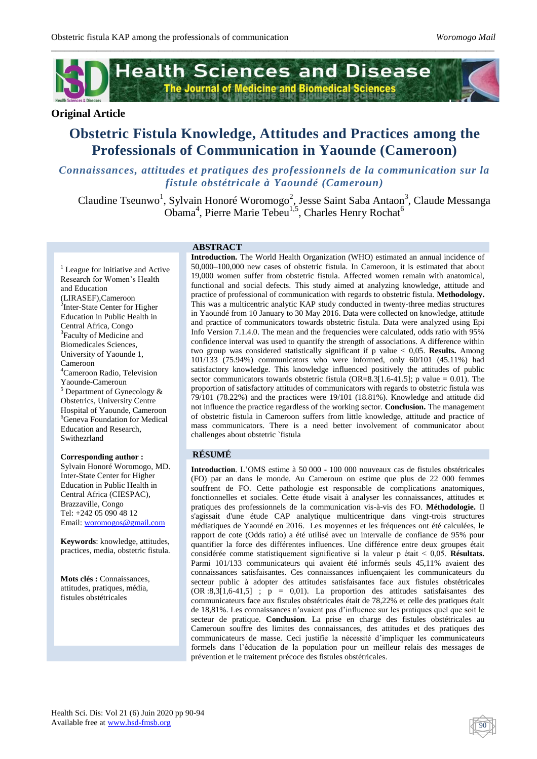

*\_\_\_\_\_\_\_\_\_\_\_\_\_\_\_\_\_\_\_\_\_\_\_\_\_\_\_\_\_\_\_\_\_\_\_\_\_\_\_\_\_\_\_\_\_\_\_\_\_\_\_\_\_\_\_\_\_\_\_\_\_\_\_\_\_\_\_\_\_\_\_\_\_\_\_\_\_\_\_\_\_\_\_\_\_\_\_\_\_\_\_\_\_\_\_\_\_\_*

# **Original Article**

# **Obstetric Fistula Knowledge, Attitudes and Practices among the Professionals of Communication in Yaounde (Cameroon)**

# *Connaissances, attitudes et pratiques des professionnels de la communication sur la fistule obstétricale à Yaoundé (Cameroun)*

Claudine Tseunwo<sup>1</sup>, Sylvain Honoré Woromogo<sup>2</sup>, Jesse Saint Saba Antaon<sup>3</sup>, Claude Messanga Obama<sup>4</sup>, Pierre Marie Tebeu<sup>1,5</sup>, Charles Henry Rochat<sup>6</sup>

<sup>1</sup> League for Initiative and Active Research for Women's Health and Education (LIRASEF),Cameroon <sup>2</sup>Inter-State Center for Higher Education in Public Health in Central Africa, Congo <sup>3</sup>Faculty of Medicine and Biomedicales Sciences, University of Yaounde 1, Cameroon <sup>4</sup>Cameroon Radio, Television Yaounde-Cameroun  $5$  Department of Gynecology  $\&$ Obstetrics, University Centre Hospital of Yaounde, Cameroon <sup>6</sup>Geneva Foundation for Medical Education and Research, Swithezrland

## **Corresponding author :**

Sylvain Honoré Woromogo, MD. Inter-State Center for Higher Education in Public Health in Central Africa (CIESPAC), Brazzaville, Congo Tel: +242 05 090 48 12 Email: [woromogos@gmail.com](mailto:woromogos@gmail.com)

**Keywords**: knowledge, attitudes, practices, media, obstetric fistula.

**Mots clés :** Connaissances, attitudes, pratiques, média, fistules obstétricales

## **ABSTRACT**

**Introduction.** The World Health Organization (WHO) estimated an annual incidence of 50,000–100,000 new cases of obstetric fistula. In Cameroon, it is estimated that about 19,000 women suffer from obstetric fistula. Affected women remain with anatomical, functional and social defects. This study aimed at analyzing knowledge, attitude and practice of professional of communication with regards to obstetric fistula. **Methodology.** This was a multicentric analytic KAP study conducted in twenty-three medias structures in Yaoundé from 10 January to 30 May 2016. Data were collected on knowledge, attitude and practice of communicators towards obstetric fistula. Data were analyzed using Epi Info Version 7.1.4.0. The mean and the frequencies were calculated, odds ratio with 95% confidence interval was used to quantify the strength of associations. A difference within two group was considered statistically significant if p value ˂ 0,05. **Results.** Among 101/133 (75.94%) communicators who were informed, only 60/101 (45.11%) had satisfactory knowledge. This knowledge influenced positively the attitudes of public sector communicators towards obstetric fistula (OR=8.3[1.6-41.5]; p value = 0.01). The proportion of satisfactory attitudes of communicators with regards to obstetric fistula was 79/101 (78.22%) and the practices were 19/101 (18.81%). Knowledge and attitude did not influence the practice regardless of the working sector. **Conclusion.** The management of obstetric fistula in Cameroon suffers from little knowledge, attitude and practice of mass communicators. There is a need better involvement of communicator about challenges about obstetric `fistula

# **RÉSUMÉ**

**Introduction**. L'OMS estime à 50 000 - 100 000 nouveaux cas de fistules obstétricales (FO) par an dans le monde. Au Cameroun on estime que plus de 22 000 femmes souffrent de FO. Cette pathologie est responsable de complications anatomiques, fonctionnelles et sociales. Cette étude visait à analyser les connaissances, attitudes et pratiques des professionnels de la communication vis-à-vis des FO. **Méthodologie.** Il s'agissait d'une étude CAP analytique multicentrique dans vingt-trois structures médiatiques de Yaoundé en 2016. Les moyennes et les fréquences ont été calculées, le rapport de cote (Odds ratio) a été utilisé avec un intervalle de confiance de 95% pour quantifier la force des différentes influences. Une différence entre deux groupes était considérée comme statistiquement significative si la valeur p était ˂ 0,05. **Résultats.** Parmi 101/133 communicateurs qui avaient été informés seuls 45,11% avaient des connaissances satisfaisantes. Ces connaissances influençaient les communicateurs du secteur public à adopter des attitudes satisfaisantes face aux fistules obstétricales (OR :8,3[1,6-41,5] ; p = 0,01). La proportion des attitudes satisfaisantes des communicateurs face aux fistules obstétricales était de 78,22% et celle des pratiques était de 18,81%. Les connaissances n'avaient pas d'influence sur les pratiques quel que soit le secteur de pratique. **Conclusion**. La prise en charge des fistules obstétricales au Cameroun souffre des limites des connaissances, des attitudes et des pratiques des communicateurs de masse. Ceci justifie la nécessité d'impliquer les communicateurs formels dans l'éducation de la population pour un meilleur relais des messages de prévention et le traitement précoce des fistules obstétricales.

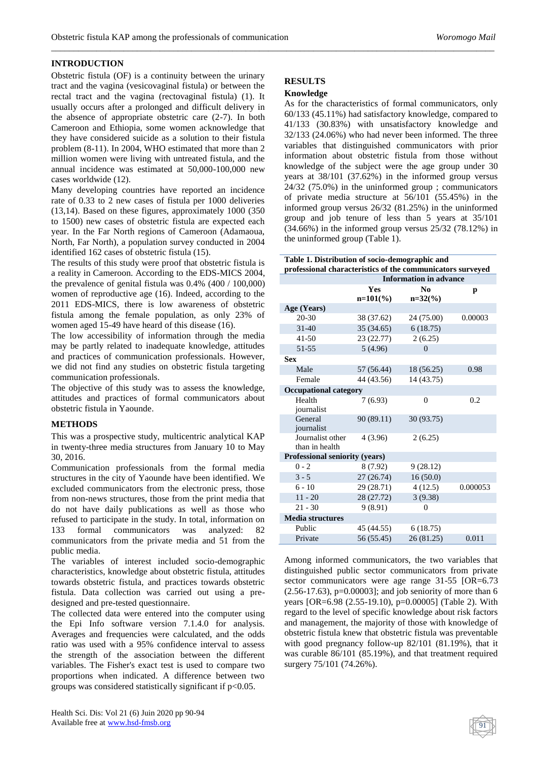# **INTRODUCTION**

Obstetric fistula (OF) is a continuity between the urinary tract and the vagina (vesicovaginal fistula) or between the rectal tract and the vagina (rectovaginal fistula) (1). It usually occurs after a prolonged and difficult delivery in the absence of appropriate obstetric care (2-7). In both Cameroon and Ethiopia, some women acknowledge that they have considered suicide as a solution to their fistula problem (8-11). In 2004, WHO estimated that more than 2 million women were living with untreated fistula, and the annual incidence was estimated at 50,000-100,000 new cases worldwide (12).

Many developing countries have reported an incidence rate of 0.33 to 2 new cases of fistula per 1000 deliveries (13,14). Based on these figures, approximately 1000 (350 to 1500) new cases of obstetric fistula are expected each year. In the Far North regions of Cameroon (Adamaoua, North, Far North), a population survey conducted in 2004 identified 162 cases of obstetric fistula (15).

The results of this study were proof that obstetric fistula is a reality in Cameroon. According to the EDS-MICS 2004, the prevalence of genital fistula was 0.4% (400 / 100,000) women of reproductive age (16). Indeed, according to the 2011 EDS-MICS, there is low awareness of obstetric fistula among the female population, as only 23% of women aged 15-49 have heard of this disease (16).

The low accessibility of information through the media may be partly related to inadequate knowledge, attitudes and practices of communication professionals. However, we did not find any studies on obstetric fistula targeting communication professionals.

The objective of this study was to assess the knowledge, attitudes and practices of formal communicators about obstetric fistula in Yaounde.

# **METHODS**

This was a prospective study, multicentric analytical KAP in twenty-three media structures from January 10 to May 30, 2016.

Communication professionals from the formal media structures in the city of Yaounde have been identified. We excluded communicators from the electronic press, those from non-news structures, those from the print media that do not have daily publications as well as those who refused to participate in the study. In total, information on 133 formal communicators was analyzed: 82 communicators from the private media and 51 from the public media.

The variables of interest included socio-demographic characteristics, knowledge about obstetric fistula, attitudes towards obstetric fistula, and practices towards obstetric fistula. Data collection was carried out using a predesigned and pre-tested questionnaire.

The collected data were entered into the computer using the Epi Info software version 7.1.4.0 for analysis. Averages and frequencies were calculated, and the odds ratio was used with a 95% confidence interval to assess the strength of the association between the different variables. The Fisher's exact test is used to compare two proportions when indicated. A difference between two groups was considered statistically significant if p<0.05.

# **RESULTS**

*\_\_\_\_\_\_\_\_\_\_\_\_\_\_\_\_\_\_\_\_\_\_\_\_\_\_\_\_\_\_\_\_\_\_\_\_\_\_\_\_\_\_\_\_\_\_\_\_\_\_\_\_\_\_\_\_\_\_\_\_\_\_\_\_\_\_\_\_\_\_\_\_\_\_\_\_\_\_\_\_\_\_\_\_\_\_\_\_\_\_\_\_\_\_\_\_\_\_*

# **Knowledge**

As for the characteristics of formal communicators, only 60/133 (45.11%) had satisfactory knowledge, compared to 41/133 (30.83%) with unsatisfactory knowledge and 32/133 (24.06%) who had never been informed. The three variables that distinguished communicators with prior information about obstetric fistula from those without knowledge of the subject were the age group under 30 years at 38/101 (37.62%) in the informed group versus 24/32 (75.0%) in the uninformed group ; communicators of private media structure at 56/101 (55.45%) in the informed group versus 26/32 (81.25%) in the uninformed group and job tenure of less than 5 years at 35/101 (34.66%) in the informed group versus 25/32 (78.12%) in the uninformed group (Table 1).

| Table 1. Distribution of socio-demographic and<br>professional characteristics of the communicators surveyed |                               |                             |          |  |  |  |
|--------------------------------------------------------------------------------------------------------------|-------------------------------|-----------------------------|----------|--|--|--|
|                                                                                                              | <b>Information in advance</b> |                             |          |  |  |  |
|                                                                                                              | Yes<br>$n=101(\%)$            | N <sub>0</sub><br>$n=32(%)$ | p        |  |  |  |
| Age (Years)                                                                                                  |                               |                             |          |  |  |  |
| $20 - 30$                                                                                                    | 38 (37.62)                    | 24 (75.00)                  | 0.00003  |  |  |  |
| $31 - 40$                                                                                                    | 35(34.65)                     | 6(18.75)                    |          |  |  |  |
| $41 - 50$                                                                                                    | 23 (22.77)                    | 2(6.25)                     |          |  |  |  |
| 51-55                                                                                                        | 5(4.96)                       | $\theta$                    |          |  |  |  |
| <b>Sex</b>                                                                                                   |                               |                             |          |  |  |  |
| Male                                                                                                         | 57 (56.44)                    | 18 (56.25)                  | 0.98     |  |  |  |
| Female                                                                                                       | 44 (43.56)                    | 14 (43.75)                  |          |  |  |  |
| <b>Occupational category</b>                                                                                 |                               |                             |          |  |  |  |
| Health<br>journalist                                                                                         | 7(6.93)                       | $\theta$                    | 0.2      |  |  |  |
| General<br>journalist                                                                                        | 90 (89.11)                    | 30 (93.75)                  |          |  |  |  |
| Journalist other<br>than in health                                                                           | 4(3.96)                       | 2(6.25)                     |          |  |  |  |
| Professional seniority (years)                                                                               |                               |                             |          |  |  |  |
| $0 - 2$                                                                                                      | 8 (7.92)                      | 9(28.12)                    |          |  |  |  |
| $3 - 5$                                                                                                      | 27 (26.74)                    | 16(50.0)                    |          |  |  |  |
| $6 - 10$                                                                                                     | 29 (28.71)                    | 4(12.5)                     | 0.000053 |  |  |  |
| $11 - 20$                                                                                                    | 28 (27.72)                    | 3(9.38)                     |          |  |  |  |
| $21 - 30$                                                                                                    | 9(8.91)                       | $\overline{0}$              |          |  |  |  |
| <b>Media structures</b>                                                                                      |                               |                             |          |  |  |  |
| Public                                                                                                       | 45 (44.55)                    | 6(18.75)                    |          |  |  |  |
| Private                                                                                                      | 56 (55.45)                    | 26 (81.25)                  | 0.011    |  |  |  |

Among informed communicators, the two variables that distinguished public sector communicators from private sector communicators were age range 31-55 [OR=6.73]  $(2.56-17.63)$ , p=0.00003]; and job seniority of more than 6 years [OR=6.98 (2.55-19.10), p=0.00005] (Table 2). With regard to the level of specific knowledge about risk factors and management, the majority of those with knowledge of obstetric fistula knew that obstetric fistula was preventable with good pregnancy follow-up 82/101 (81.19%), that it was curable 86/101 (85.19%), and that treatment required surgery 75/101 (74.26%).

91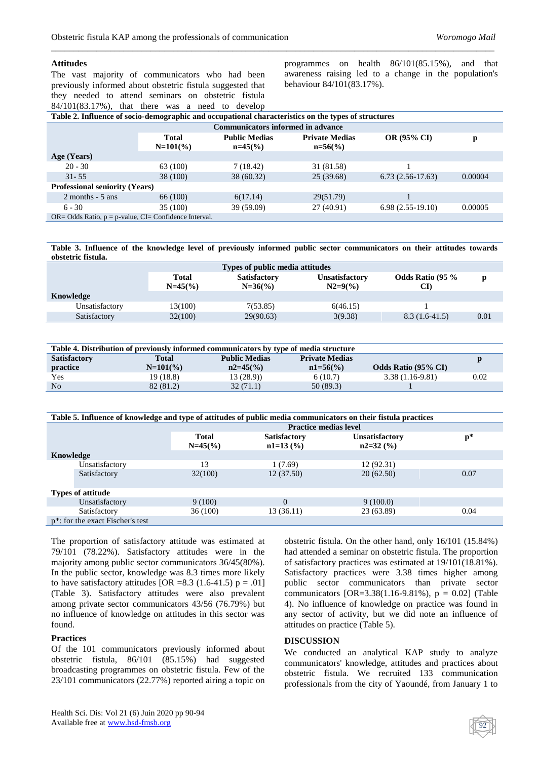#### **Attitudes**

The vast majority of communicators who had been previously informed about obstetric fistula suggested that they needed to attend seminars on obstetric fistula 84/101(83.17%), that there was a need to develop programmes on health 86/101(85.15%), and that awareness raising led to a change in the population's behaviour 84/101(83.17%).

| Table 2. Influence of socio-demographic and occupational characteristics on the types of structures |                             |                                     |                                      |                    |         |  |
|-----------------------------------------------------------------------------------------------------|-----------------------------|-------------------------------------|--------------------------------------|--------------------|---------|--|
| <b>Communicators informed in advance</b>                                                            |                             |                                     |                                      |                    |         |  |
|                                                                                                     | <b>Total</b><br>$N=101(\%)$ | <b>Public Medias</b><br>$n=45\,(%)$ | <b>Private Medias</b><br>$n=56\,(%)$ | <b>OR (95% CI)</b> | p       |  |
| Age (Years)                                                                                         |                             |                                     |                                      |                    |         |  |
| $20 - 30$                                                                                           | 63 (100)                    | 7(18.42)                            | 31 (81.58)                           |                    |         |  |
| $31 - 55$                                                                                           | 38 (100)                    | 38 (60.32)                          | 25(39.68)                            | $6.73(2.56-17.63)$ | 0.00004 |  |
| <b>Professional seniority (Years)</b>                                                               |                             |                                     |                                      |                    |         |  |
| $2$ months $-5$ ans                                                                                 | 66 (100)                    | 6(17.14)                            | 29(51.79)                            |                    |         |  |
| $6 - 30$                                                                                            | 35 (100)                    | 39(59.09)                           | 27 (40.91)                           | $6.98(2.55-19.10)$ | 0.00005 |  |
| $OR = Odds$ Ratio, $p = p$ -value, $CI = Confidence Interval$ .                                     |                             |                                     |                                      |                    |         |  |

*\_\_\_\_\_\_\_\_\_\_\_\_\_\_\_\_\_\_\_\_\_\_\_\_\_\_\_\_\_\_\_\_\_\_\_\_\_\_\_\_\_\_\_\_\_\_\_\_\_\_\_\_\_\_\_\_\_\_\_\_\_\_\_\_\_\_\_\_\_\_\_\_\_\_\_\_\_\_\_\_\_\_\_\_\_\_\_\_\_\_\_\_\_\_\_\_\_\_*

**Table 3. Influence of the knowledge level of previously informed public sector communicators on their attitudes towards obstetric fistula.**

| Types of public media attitudes |                    |                                  |                                    |                               |      |  |
|---------------------------------|--------------------|----------------------------------|------------------------------------|-------------------------------|------|--|
|                                 | Total<br>$N=45(%)$ | <b>Satisfactory</b><br>$N=36(%)$ | <b>Unsatisfactory</b><br>$N2=9(%)$ | <b>Odds Ratio (95 %</b><br>CF | D    |  |
| Knowledge                       |                    |                                  |                                    |                               |      |  |
| Unsatisfactory                  | 13(100)            | 7(53.85)                         | 6(46.15)                           |                               |      |  |
| Satisfactory                    | 32(100)            | 29(90.63)                        | 3(9.38)                            | $8.3(1.6-41.5)$               | 0.01 |  |

| Table 4. Distribution of previously informed communicators by type of media structure |              |                      |                       |                            |      |  |
|---------------------------------------------------------------------------------------|--------------|----------------------|-----------------------|----------------------------|------|--|
| <b>Satisfactory</b>                                                                   | <b>Total</b> | <b>Public Medias</b> | <b>Private Medias</b> |                            |      |  |
| practice                                                                              | $N=101(\%)$  | $n2=45(%)$           | $n1 = 56(%)$          | <b>Odds Ratio (95% CI)</b> |      |  |
| Yes                                                                                   | 19 (18.8)    | 13(28.9)             | 6(10.7)               | $3.38(1.16-9.81)$          | 0.02 |  |
| N <sub>o</sub>                                                                        | 82 (81.2)    | 32(71.1)             | 50(89.3)              |                            |      |  |

| Table 5. Influence of knowledge and type of attitudes of public media communicators on their fistula practices |                                               |              |                     |                       |       |  |
|----------------------------------------------------------------------------------------------------------------|-----------------------------------------------|--------------|---------------------|-----------------------|-------|--|
|                                                                                                                | <b>Practice medias level</b>                  |              |                     |                       |       |  |
|                                                                                                                |                                               | <b>Total</b> | <b>Satisfactory</b> | <b>Unsatisfactory</b> | $p^*$ |  |
|                                                                                                                |                                               | $N=45(%)$    | $n1=13$ (%)         | $n2=32$ (%)           |       |  |
| Knowledge                                                                                                      |                                               |              |                     |                       |       |  |
|                                                                                                                | Unsatisfactory                                | 13           | 1(7.69)             | 12(92.31)             |       |  |
|                                                                                                                | Satisfactory                                  | 32(100)      | 12(37.50)           | 20(62.50)             | 0.07  |  |
|                                                                                                                |                                               |              |                     |                       |       |  |
| <b>Types of attitude</b>                                                                                       |                                               |              |                     |                       |       |  |
|                                                                                                                | Unsatisfactory                                | 9(100)       | $\Omega$            | 9(100.0)              |       |  |
|                                                                                                                | Satisfactory                                  | 36 (100)     | 13 (36.11)          | 23 (63.89)            | 0.04  |  |
|                                                                                                                | p <sup>*</sup> : for the exact Fischer's test |              |                     |                       |       |  |

The proportion of satisfactory attitude was estimated at 79/101 (78.22%). Satisfactory attitudes were in the majority among public sector communicators 36/45(80%). In the public sector, knowledge was 8.3 times more likely to have satisfactory attitudes  $[OR = 8.3 (1.6-41.5) p = .01]$ (Table 3). Satisfactory attitudes were also prevalent among private sector communicators 43/56 (76.79%) but no influence of knowledge on attitudes in this sector was found.

#### **Practices**

Of the 101 communicators previously informed about obstetric fistula, 86/101 (85.15%) had suggested broadcasting programmes on obstetric fistula. Few of the 23/101 communicators (22.77%) reported airing a topic on obstetric fistula. On the other hand, only 16/101 (15.84%) had attended a seminar on obstetric fistula. The proportion of satisfactory practices was estimated at 19/101(18.81%). Satisfactory practices were 3.38 times higher among public sector communicators than private sector communicators  $[OR=3.38(1.16-9.81\%), p = 0.02]$  (Table 4). No influence of knowledge on practice was found in any sector of activity, but we did note an influence of attitudes on practice (Table 5).

#### **DISCUSSION**

We conducted an analytical KAP study to analyze communicators' knowledge, attitudes and practices about obstetric fistula. We recruited 133 communication professionals from the city of Yaoundé, from January 1 to

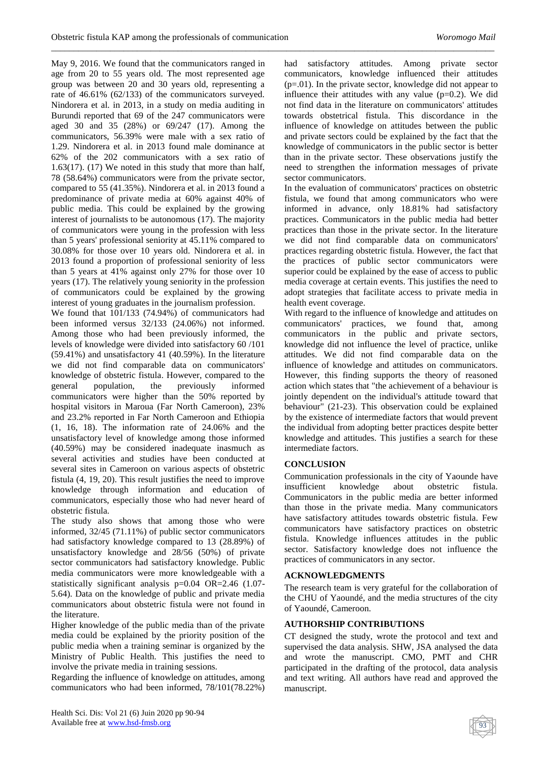*\_\_\_\_\_\_\_\_\_\_\_\_\_\_\_\_\_\_\_\_\_\_\_\_\_\_\_\_\_\_\_\_\_\_\_\_\_\_\_\_\_\_\_\_\_\_\_\_\_\_\_\_\_\_\_\_\_\_\_\_\_\_\_\_\_\_\_\_\_\_\_\_\_\_\_\_\_\_\_\_\_\_\_\_\_\_\_\_\_\_\_\_\_\_\_\_\_\_*

May 9, 2016. We found that the communicators ranged in age from 20 to 55 years old. The most represented age group was between 20 and 30 years old, representing a rate of 46.61% (62/133) of the communicators surveyed. Nindorera et al. in 2013, in a study on media auditing in Burundi reported that 69 of the 247 communicators were aged 30 and 35 (28%) or 69/247 (17). Among the communicators, 56.39% were male with a sex ratio of 1.29. Nindorera et al. in 2013 found male dominance at 62% of the 202 communicators with a sex ratio of 1.63(17). (17) We noted in this study that more than half, 78 (58.64%) communicators were from the private sector, compared to 55 (41.35%). Nindorera et al. in 2013 found a predominance of private media at 60% against 40% of public media. This could be explained by the growing interest of journalists to be autonomous (17). The majority of communicators were young in the profession with less than 5 years' professional seniority at 45.11% compared to 30.08% for those over 10 years old. Nindorera et al. in 2013 found a proportion of professional seniority of less than 5 years at 41% against only 27% for those over 10 years (17). The relatively young seniority in the profession of communicators could be explained by the growing interest of young graduates in the journalism profession.

We found that 101/133 (74.94%) of communicators had been informed versus 32/133 (24.06%) not informed. Among those who had been previously informed, the levels of knowledge were divided into satisfactory 60 /101 (59.41%) and unsatisfactory 41 (40.59%). In the literature we did not find comparable data on communicators' knowledge of obstetric fistula. However, compared to the general population, the previously informed communicators were higher than the 50% reported by hospital visitors in Maroua (Far North Cameroon), 23% and 23.2% reported in Far North Cameroon and Ethiopia (1, 16, 18). The information rate of 24.06% and the unsatisfactory level of knowledge among those informed (40.59%) may be considered inadequate inasmuch as several activities and studies have been conducted at several sites in Cameroon on various aspects of obstetric fistula (4, 19, 20). This result justifies the need to improve knowledge through information and education of communicators, especially those who had never heard of obstetric fistula.

The study also shows that among those who were informed, 32/45 (71.11%) of public sector communicators had satisfactory knowledge compared to 13 (28.89%) of unsatisfactory knowledge and 28/56 (50%) of private sector communicators had satisfactory knowledge. Public media communicators were more knowledgeable with a statistically significant analysis p=0.04 OR=2.46 (1.07- 5.64). Data on the knowledge of public and private media communicators about obstetric fistula were not found in the literature.

Higher knowledge of the public media than of the private media could be explained by the priority position of the public media when a training seminar is organized by the Ministry of Public Health. This justifies the need to involve the private media in training sessions.

Regarding the influence of knowledge on attitudes, among communicators who had been informed, 78/101(78.22%) had satisfactory attitudes. Among private sector communicators, knowledge influenced their attitudes (p=.01). In the private sector, knowledge did not appear to influence their attitudes with any value  $(p=0.2)$ . We did not find data in the literature on communicators' attitudes towards obstetrical fistula. This discordance in the influence of knowledge on attitudes between the public and private sectors could be explained by the fact that the knowledge of communicators in the public sector is better than in the private sector. These observations justify the need to strengthen the information messages of private sector communicators.

In the evaluation of communicators' practices on obstetric fistula, we found that among communicators who were informed in advance, only 18.81% had satisfactory practices. Communicators in the public media had better practices than those in the private sector. In the literature we did not find comparable data on communicators' practices regarding obstetric fistula. However, the fact that the practices of public sector communicators were superior could be explained by the ease of access to public media coverage at certain events. This justifies the need to adopt strategies that facilitate access to private media in health event coverage.

With regard to the influence of knowledge and attitudes on communicators' practices, we found that, among communicators in the public and private sectors, knowledge did not influence the level of practice, unlike attitudes. We did not find comparable data on the influence of knowledge and attitudes on communicators. However, this finding supports the theory of reasoned action which states that "the achievement of a behaviour is jointly dependent on the individual's attitude toward that behaviour" (21-23). This observation could be explained by the existence of intermediate factors that would prevent the individual from adopting better practices despite better knowledge and attitudes. This justifies a search for these intermediate factors.

# **CONCLUSION**

Communication professionals in the city of Yaounde have insufficient knowledge about obstetric fistula. Communicators in the public media are better informed than those in the private media. Many communicators have satisfactory attitudes towards obstetric fistula. Few communicators have satisfactory practices on obstetric fistula. Knowledge influences attitudes in the public sector. Satisfactory knowledge does not influence the practices of communicators in any sector.

## **ACKNOWLEDGMENTS**

The research team is very grateful for the collaboration of the CHU of Yaoundé, and the media structures of the city of Yaoundé, Cameroon.

#### **AUTHORSHIP CONTRIBUTIONS**

CT designed the study, wrote the protocol and text and supervised the data analysis. SHW, JSA analysed the data and wrote the manuscript. CMO, PMT and CHR participated in the drafting of the protocol, data analysis and text writing. All authors have read and approved the manuscript.